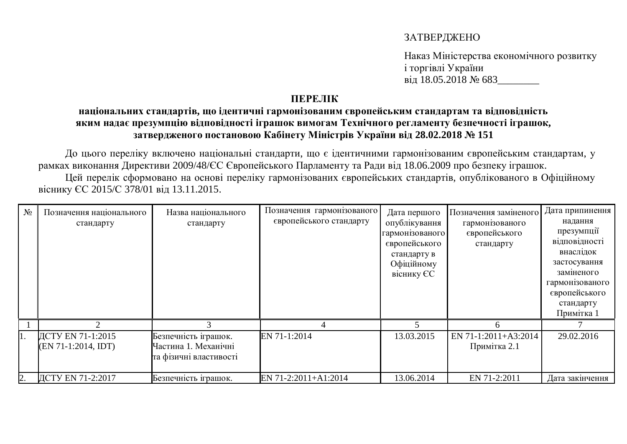## ЗАТВЕРДЖЕНО

Наказ Міністерства економічного розвитку *i* торгівлі України від 18.05.2018 № 683

## **TIEPEJIK**

## **НАЦІОНАЛЬНИХ СТАНДАРТІВ, ЩО ІДЕНТИЧНІ ГАРМОНІЗОВАНИМ ЄВРОПЕЙСЬКИМ СТАНДАРТАМ ТА ВІДПОВІДНІСТЬ** яким надає презумпцію відповідності іграшок вимогам Технічного регламенту безпечності іграшок, ЗАТВЕРДЖЕНОГО ПОСТАНОВОЮ КАбінету Міністрів України від 28.02.2018 № 151

До цього переліку включено національні стандарти, що є ідентичними гармонізованим європейським стандартам, у рамках виконання Директиви 2009/48/ЄС Європейського Парламенту та Ради від 18.06.2009 про безпеку іграшок. Цей перелік сформовано на основі переліку гармонізованих європейських стандартів, опублікованого в Офіційному

віснику ЄС 2015/С 378/01 від 13.11.2015.

| $N_2$ | Позначення національного<br>стандарту      | Назва національного<br>стандарту                                       | Позначення гармонізованого<br>європейського стандарту | Дата першого<br>опублікування<br>гармонізованого<br>європейського<br>стандарту в<br>Офіційному<br>віснику ЄС | Позначення заміненого<br>гармонізованого<br>європейського<br>стандарту | Дата припинення<br>надання<br>презумпції<br>відповідності<br>внаслідок<br>застосування<br>заміненого<br>гармонізованого<br>європейського<br>стандарту<br>Примітка 1 |
|-------|--------------------------------------------|------------------------------------------------------------------------|-------------------------------------------------------|--------------------------------------------------------------------------------------------------------------|------------------------------------------------------------------------|---------------------------------------------------------------------------------------------------------------------------------------------------------------------|
|       |                                            |                                                                        |                                                       |                                                                                                              | h                                                                      |                                                                                                                                                                     |
|       | ДСТУ EN 71-1:2015<br>$(EN 71-1:2014, IDT)$ | Безпечність іграшок.<br>Частина 1. Механічні<br>та фізичні властивості | EN 71-1:2014                                          | 13.03.2015                                                                                                   | EN 71-1:2011+A3:2014<br>Примітка 2.1                                   | 29.02.2016                                                                                                                                                          |
| 2.    | ДСТУ EN 71-2:2017                          | Безпечність іграшок.                                                   | EN 71-2:2011+A1:2014                                  | 13.06.2014                                                                                                   | EN 71-2:2011                                                           | Дата закінчення                                                                                                                                                     |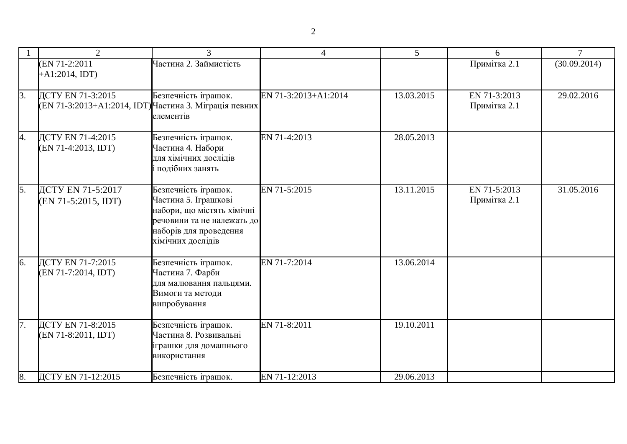|                  | $\overline{2}$                                                              | 3                                                                                                                                                       | $\overline{4}$       | 5          | 6                            | $\tau$       |
|------------------|-----------------------------------------------------------------------------|---------------------------------------------------------------------------------------------------------------------------------------------------------|----------------------|------------|------------------------------|--------------|
|                  | (EN 71-2:2011<br>$+A1:2014, IDT)$                                           | Частина 2. Займистість                                                                                                                                  |                      |            | Примітка 2.1                 | (30.09.2014) |
| $\beta$ .        | ДСТУ EN 71-3:2015<br>(EN 71-3:2013+A1:2014, IDT) Частина 3. Міграція певних | Безпечність іграшок.<br>елементів                                                                                                                       | EN 71-3:2013+A1:2014 | 13.03.2015 | EN 71-3:2013<br>Примітка 2.1 | 29.02.2016   |
| 4.               | ДСТУ EN 71-4:2015<br>(EN 71-4:2013, IDT)                                    | Безпечність іграшок.<br>Частина 4. Набори<br>для хімічних дослідів<br>і подібних занять                                                                 | EN 71-4:2013         | 28.05.2013 |                              |              |
| $\overline{5}$ . | ДСТУ EN 71-5:2017<br>$(EN 71-5:2015, IDT)$                                  | Безпечність іграшок.<br>Частина 5. Іграшкові<br>набори, що містять хімічні<br>речовини та не належать до<br>наборів для проведення<br>хімічних дослідів | EN 71-5:2015         | 13.11.2015 | EN 71-5:2013<br>Примітка 2.1 | 31.05.2016   |
| 6.               | ДСТУ EN 71-7:2015<br>(EN 71-7:2014, IDT)                                    | Безпечність іграшок.<br>Частина 7. Фарби<br>для малювання пальцями.<br>Вимоги та методи<br>випробування                                                 | EN 71-7:2014         | 13.06.2014 |                              |              |
| 7.               | ДСТУ EN 71-8:2015<br>(EN 71-8:2011, IDT)                                    | Безпечність іграшок.<br>Частина 8. Розвивальні<br>іграшки для домашнього<br>використання                                                                | EN 71-8:2011         | 19.10.2011 |                              |              |
| 8.               | ДСТУ EN 71-12:2015                                                          | Безпечність іграшок.                                                                                                                                    | EN 71-12:2013        | 29.06.2013 |                              |              |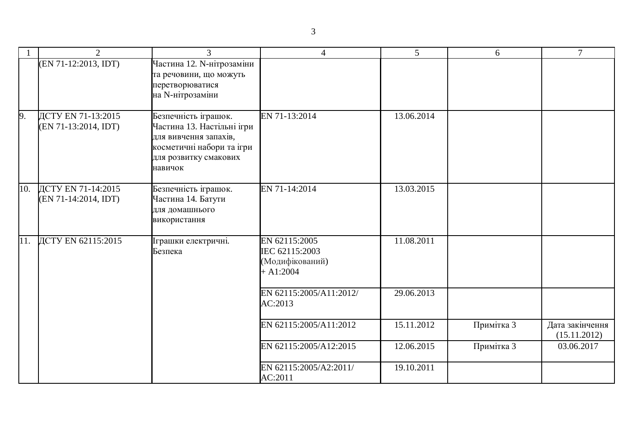|     | $\overline{2}$                               | 3                                                                                                                                            | $\overline{4}$                                                    | 5          | 6          | $\tau$                          |
|-----|----------------------------------------------|----------------------------------------------------------------------------------------------------------------------------------------------|-------------------------------------------------------------------|------------|------------|---------------------------------|
|     | (EN 71-12:2013, IDT)                         | Частина 12. N-нітрозаміни<br>та речовини, що можуть<br>перетворюватися<br>на N-нітрозаміни                                                   |                                                                   |            |            |                                 |
| 9.  | ДСТУ EN 71-13:2015<br>$(EN 71-13:2014, IDT)$ | Безпечність іграшок.<br>Частина 13. Настільні ігри<br>для вивчення запахів,<br>косметичні набори та ігри<br>для розвитку смакових<br>навичок | EN 71-13:2014                                                     | 13.06.2014 |            |                                 |
| 10. | ДСТУ EN 71-14:2015<br>(EN 71-14:2014, IDT)   | Безпечність іграшок.<br>Частина 14. Батути<br>для домашнього<br>використання                                                                 | EN 71-14:2014                                                     | 13.03.2015 |            |                                 |
| 11. | ДСТУ EN 62115:2015                           | Іграшки електричні.<br>Безпека                                                                                                               | EN 62115:2005<br>IEC 62115:2003<br>(Модифікований)<br>$+ A1:2004$ | 11.08.2011 |            |                                 |
|     |                                              |                                                                                                                                              | EN 62115:2005/A11:2012/<br>AC:2013                                | 29.06.2013 |            |                                 |
|     |                                              |                                                                                                                                              | EN 62115:2005/A11:2012                                            | 15.11.2012 | Примітка 3 | Дата закінчення<br>(15.11.2012) |
|     |                                              |                                                                                                                                              | EN 62115:2005/A12:2015                                            | 12.06.2015 | Примітка 3 | 03.06.2017                      |
|     |                                              |                                                                                                                                              | EN 62115:2005/A2:2011/                                            | 19.10.2011 |            |                                 |

AC:2011